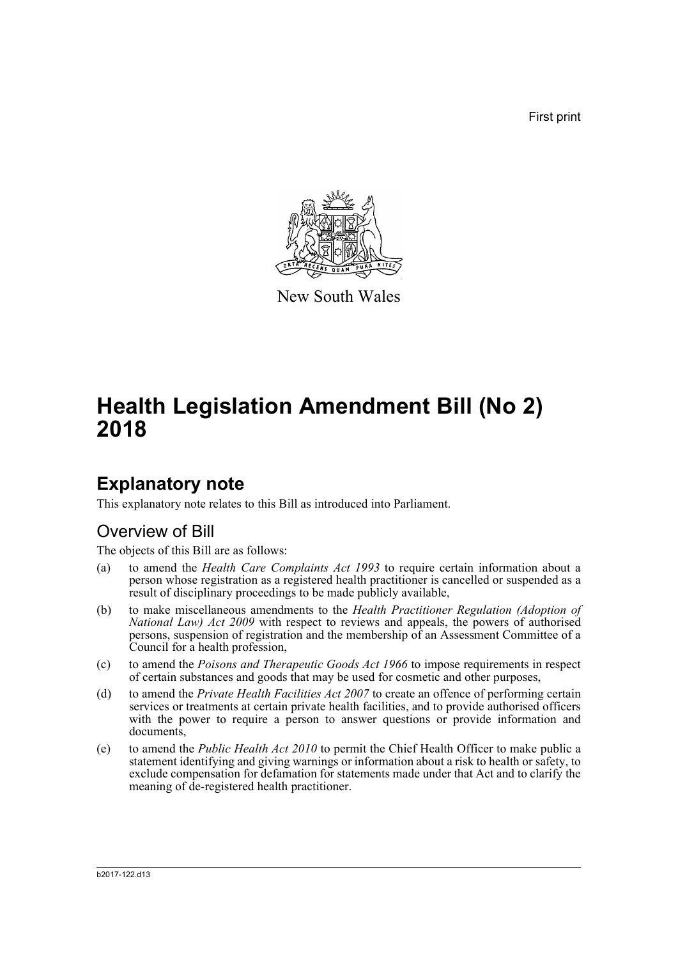First print



New South Wales

# **Health Legislation Amendment Bill (No 2) 2018**

## **Explanatory note**

This explanatory note relates to this Bill as introduced into Parliament.

## Overview of Bill

The objects of this Bill are as follows:

- (a) to amend the *Health Care Complaints Act 1993* to require certain information about a person whose registration as a registered health practitioner is cancelled or suspended as a result of disciplinary proceedings to be made publicly available,
- (b) to make miscellaneous amendments to the *Health Practitioner Regulation (Adoption of National Law) Act 2009* with respect to reviews and appeals, the powers of authorised persons, suspension of registration and the membership of an Assessment Committee of a Council for a health profession,
- (c) to amend the *Poisons and Therapeutic Goods Act 1966* to impose requirements in respect of certain substances and goods that may be used for cosmetic and other purposes,
- (d) to amend the *Private Health Facilities Act 2007* to create an offence of performing certain services or treatments at certain private health facilities, and to provide authorised officers with the power to require a person to answer questions or provide information and documents,
- (e) to amend the *Public Health Act 2010* to permit the Chief Health Officer to make public a statement identifying and giving warnings or information about a risk to health or safety, to exclude compensation for defamation for statements made under that Act and to clarify the meaning of de-registered health practitioner.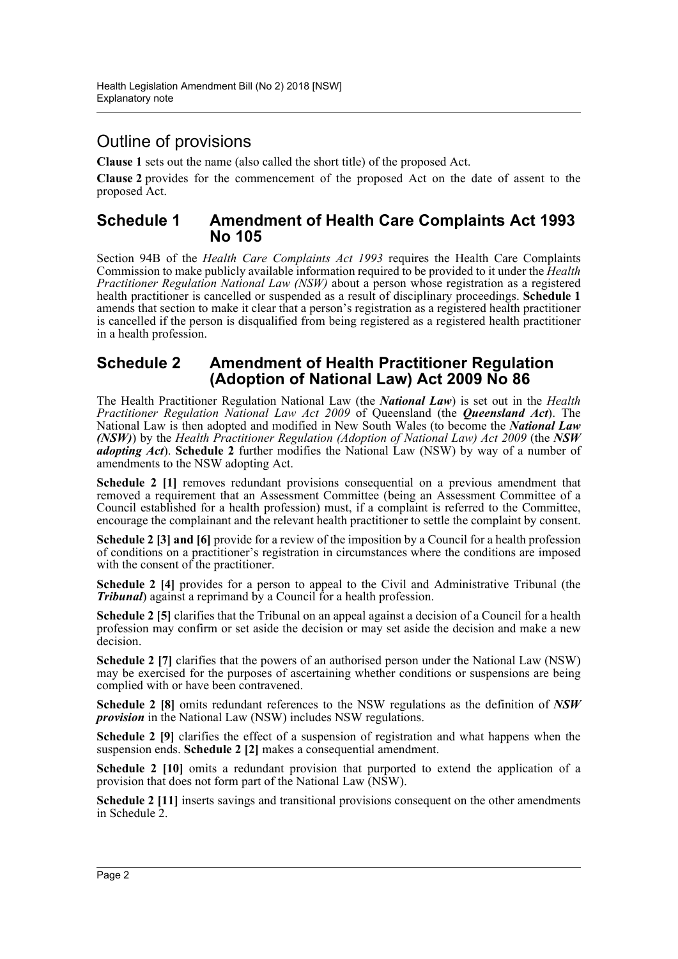## Outline of provisions

**Clause 1** sets out the name (also called the short title) of the proposed Act.

**Clause 2** provides for the commencement of the proposed Act on the date of assent to the proposed Act.

### **Schedule 1 Amendment of Health Care Complaints Act 1993 No 105**

Section 94B of the *Health Care Complaints Act 1993* requires the Health Care Complaints Commission to make publicly available information required to be provided to it under the *Health Practitioner Regulation National Law (NSW)* about a person whose registration as a registered health practitioner is cancelled or suspended as a result of disciplinary proceedings. **Schedule 1** amends that section to make it clear that a person's registration as a registered health practitioner is cancelled if the person is disqualified from being registered as a registered health practitioner in a health profession.

## **Schedule 2 Amendment of Health Practitioner Regulation (Adoption of National Law) Act 2009 No 86**

The Health Practitioner Regulation National Law (the *National Law*) is set out in the *Health Practitioner Regulation National Law Act 2009* of Queensland (the *Queensland Act*). The National Law is then adopted and modified in New South Wales (to become the *National Law (NSW)*) by the *Health Practitioner Regulation (Adoption of National Law) Act 2009* (the *NSW adopting Act*). **Schedule 2** further modifies the National Law (NSW) by way of a number of amendments to the NSW adopting Act.

**Schedule 2 [1]** removes redundant provisions consequential on a previous amendment that removed a requirement that an Assessment Committee (being an Assessment Committee of a Council established for a health profession) must, if a complaint is referred to the Committee, encourage the complainant and the relevant health practitioner to settle the complaint by consent.

**Schedule 2 [3] and [6]** provide for a review of the imposition by a Council for a health profession of conditions on a practitioner's registration in circumstances where the conditions are imposed with the consent of the practitioner.

**Schedule 2 [4]** provides for a person to appeal to the Civil and Administrative Tribunal (the *Tribunal*) against a reprimand by a Council for a health profession.

**Schedule 2 [5]** clarifies that the Tribunal on an appeal against a decision of a Council for a health profession may confirm or set aside the decision or may set aside the decision and make a new decision.

**Schedule 2** [7] clarifies that the powers of an authorised person under the National Law (NSW) may be exercised for the purposes of ascertaining whether conditions or suspensions are being complied with or have been contravened.

**Schedule 2 [8]** omits redundant references to the NSW regulations as the definition of *NSW provision* in the National Law (NSW) includes NSW regulations.

**Schedule 2 [9]** clarifies the effect of a suspension of registration and what happens when the suspension ends. **Schedule 2 [2]** makes a consequential amendment.

**Schedule 2 [10]** omits a redundant provision that purported to extend the application of a provision that does not form part of the National Law (NSW).

**Schedule 2** [11] inserts savings and transitional provisions consequent on the other amendments in Schedule 2.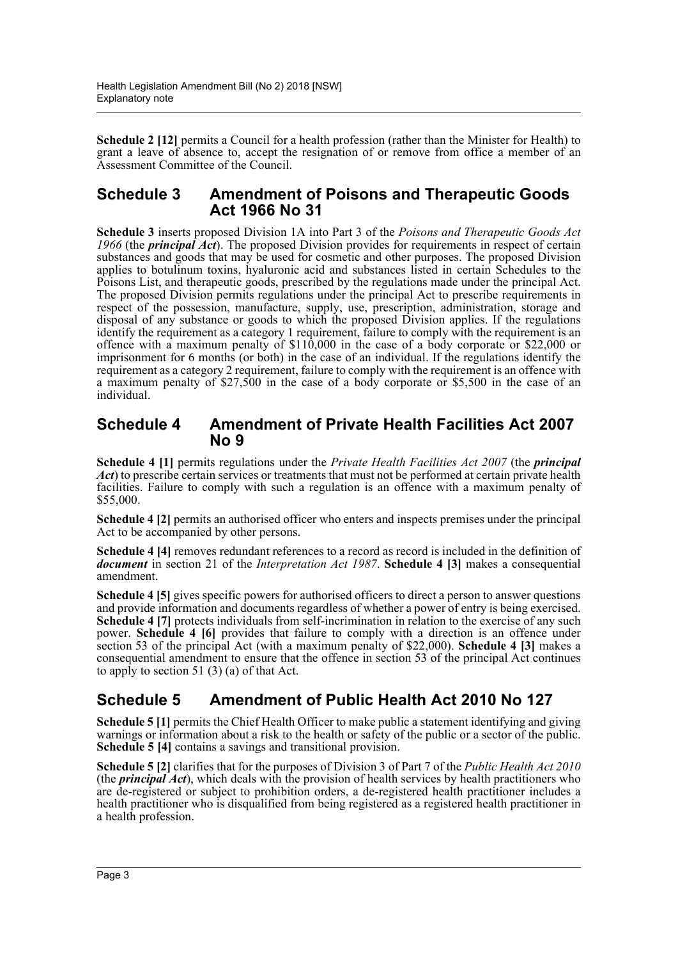**Schedule 2 [12]** permits a Council for a health profession (rather than the Minister for Health) to grant a leave of absence to, accept the resignation of or remove from office a member of an Assessment Committee of the Council.

### **Schedule 3 Amendment of Poisons and Therapeutic Goods Act 1966 No 31**

**Schedule 3** inserts proposed Division 1A into Part 3 of the *Poisons and Therapeutic Goods Act* 1966 (the *principal Act*). The proposed Division provides for requirements in respect of certain substances and goods that may be used for cosmetic and other purposes. The proposed Division applies to botulinum toxins, hyaluronic acid and substances listed in certain Schedules to the Poisons List, and therapeutic goods, prescribed by the regulations made under the principal Act. The proposed Division permits regulations under the principal Act to prescribe requirements in respect of the possession, manufacture, supply, use, prescription, administration, storage and disposal of any substance or goods to which the proposed Division applies. If the regulations identify the requirement as a category 1 requirement, failure to comply with the requirement is an offence with a maximum penalty of \$110,000 in the case of a body corporate or \$22,000 or imprisonment for 6 months (or both) in the case of an individual. If the regulations identify the requirement as a category 2 requirement, failure to comply with the requirement is an offence with a maximum penalty of \$27,500 in the case of a body corporate or \$5,500 in the case of an individual.

## **Schedule 4 Amendment of Private Health Facilities Act 2007 No 9**

**Schedule 4 [1]** permits regulations under the *Private Health Facilities Act 2007* (the *principal Act*) to prescribe certain services or treatments that must not be performed at certain private health facilities. Failure to comply with such a regulation is an offence with a maximum penalty of \$55,000.

**Schedule 4 [2]** permits an authorised officer who enters and inspects premises under the principal Act to be accompanied by other persons.

**Schedule 4 [4]** removes redundant references to a record as record is included in the definition of *document* in section 21 of the *Interpretation Act 1987*. **Schedule 4 [3]** makes a consequential amendment.

**Schedule 4 [5]** gives specific powers for authorised officers to direct a person to answer questions and provide information and documents regardless of whether a power of entry is being exercised. Schedule 4 [7] protects individuals from self-incrimination in relation to the exercise of any such power. **Schedule 4 [6]** provides that failure to comply with a direction is an offence under section 53 of the principal Act (with a maximum penalty of \$22,000). **Schedule 4 [3]** makes a consequential amendment to ensure that the offence in section 53 of the principal Act continues to apply to section 51 (3) (a) of that Act.

## **Schedule 5 Amendment of Public Health Act 2010 No 127**

**Schedule 5 [1]** permits the Chief Health Officer to make public a statement identifying and giving warnings or information about a risk to the health or safety of the public or a sector of the public. **Schedule 5 [4]** contains a savings and transitional provision.

**Schedule 5 [2]** clarifies that for the purposes of Division 3 of Part 7 of the *Public Health Act 2010* (the *principal Act*), which deals with the provision of health services by health practitioners who are de-registered or subject to prohibition orders, a de-registered health practitioner includes a health practitioner who is disqualified from being registered as a registered health practitioner in a health profession.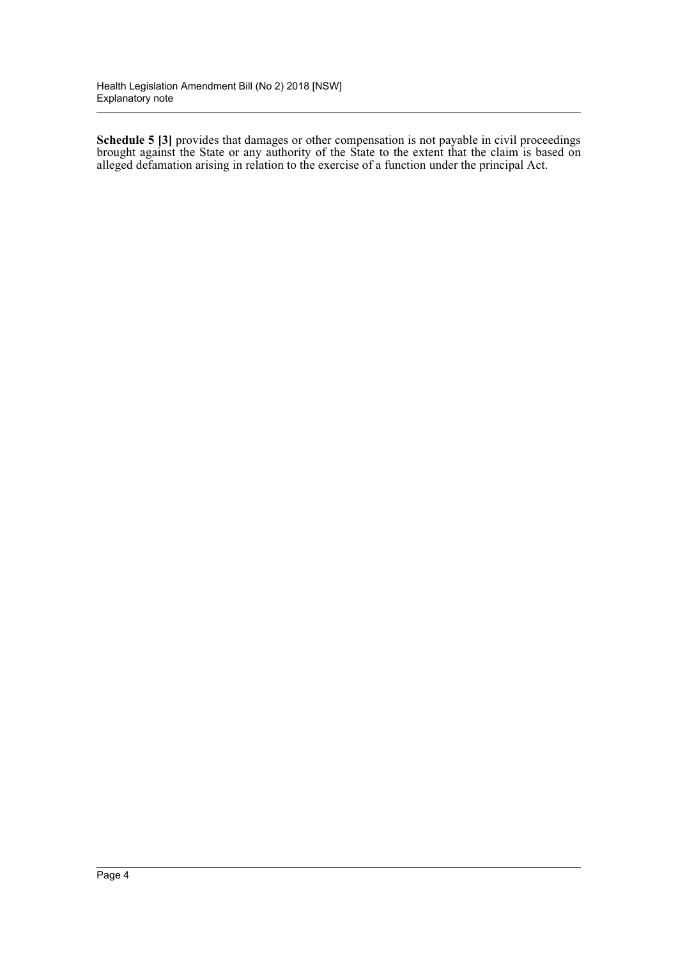**Schedule 5 [3]** provides that damages or other compensation is not payable in civil proceedings brought against the State or any authority of the State to the extent that the claim is based on alleged defamation arising in relation to the exercise of a function under the principal Act.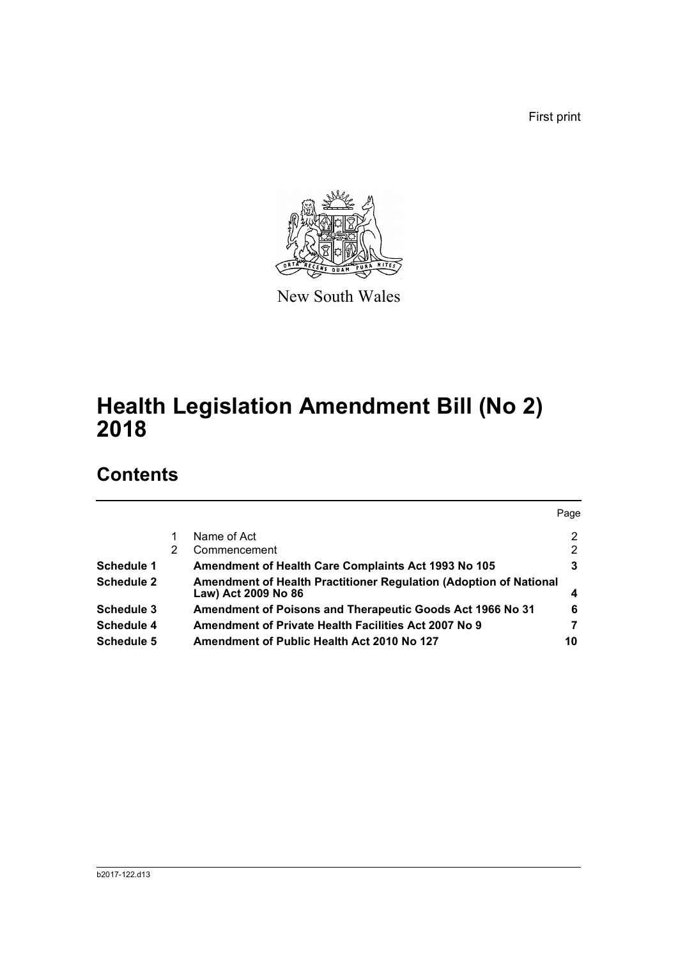First print



New South Wales

# **Health Legislation Amendment Bill (No 2) 2018**

## **Contents**

|                   |   |                                                                                          | Page |
|-------------------|---|------------------------------------------------------------------------------------------|------|
|                   |   | Name of Act                                                                              | 2    |
|                   | 2 | Commencement                                                                             | 2    |
| Schedule 1        |   | Amendment of Health Care Complaints Act 1993 No 105                                      | 3    |
| <b>Schedule 2</b> |   | Amendment of Health Practitioner Regulation (Adoption of National<br>Law) Act 2009 No 86 | 4    |
| Schedule 3        |   | Amendment of Poisons and Therapeutic Goods Act 1966 No 31                                | 6    |
| <b>Schedule 4</b> |   | Amendment of Private Health Facilities Act 2007 No 9                                     | 7    |
| Schedule 5        |   | Amendment of Public Health Act 2010 No 127                                               | 10   |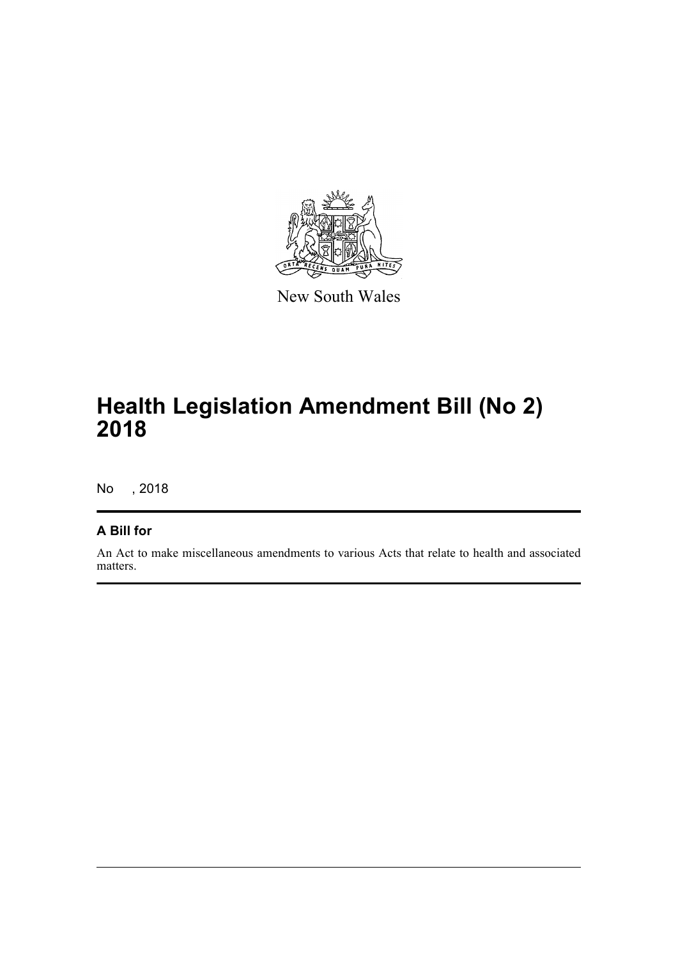

New South Wales

# **Health Legislation Amendment Bill (No 2) 2018**

No , 2018

### **A Bill for**

An Act to make miscellaneous amendments to various Acts that relate to health and associated matters.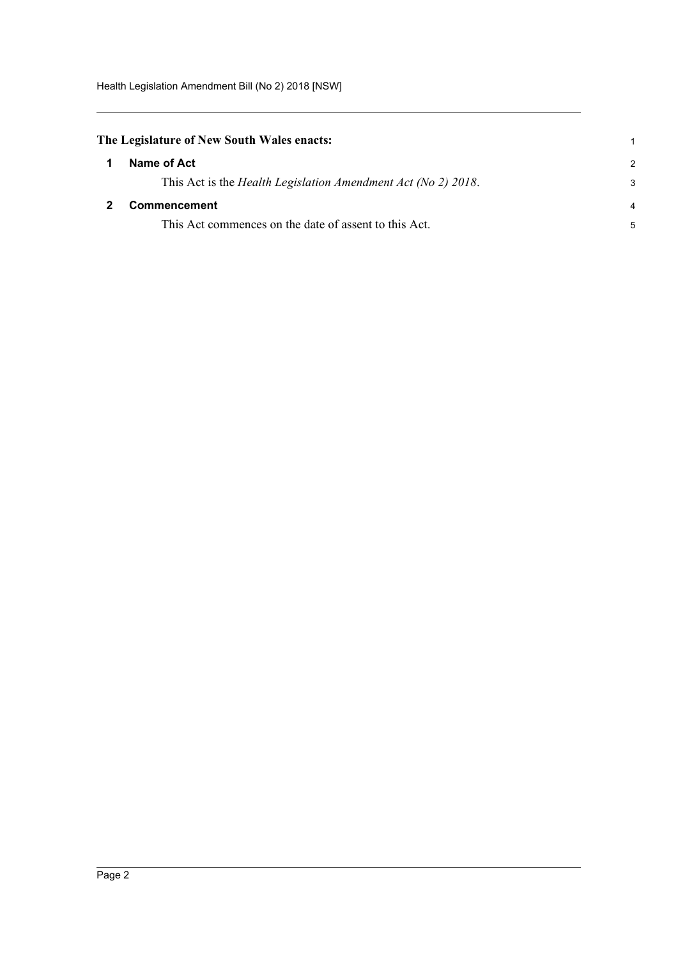Health Legislation Amendment Bill (No 2) 2018 [NSW]

<span id="page-6-0"></span>

| The Legislature of New South Wales enacts: |  |  |  |  |  |
|--------------------------------------------|--|--|--|--|--|
|--------------------------------------------|--|--|--|--|--|

<span id="page-6-1"></span>

| $\mathbf 1$  | Name of Act                                                           | $\mathcal{P} \equiv$ |
|--------------|-----------------------------------------------------------------------|----------------------|
|              | This Act is the <i>Health Legislation Amendment Act (No 2) 2018</i> . | 3                    |
| $\mathbf{2}$ | <b>Commencement</b>                                                   | $\overline{4}$       |
|              | This Act commences on the date of assent to this Act.                 | 5.                   |

1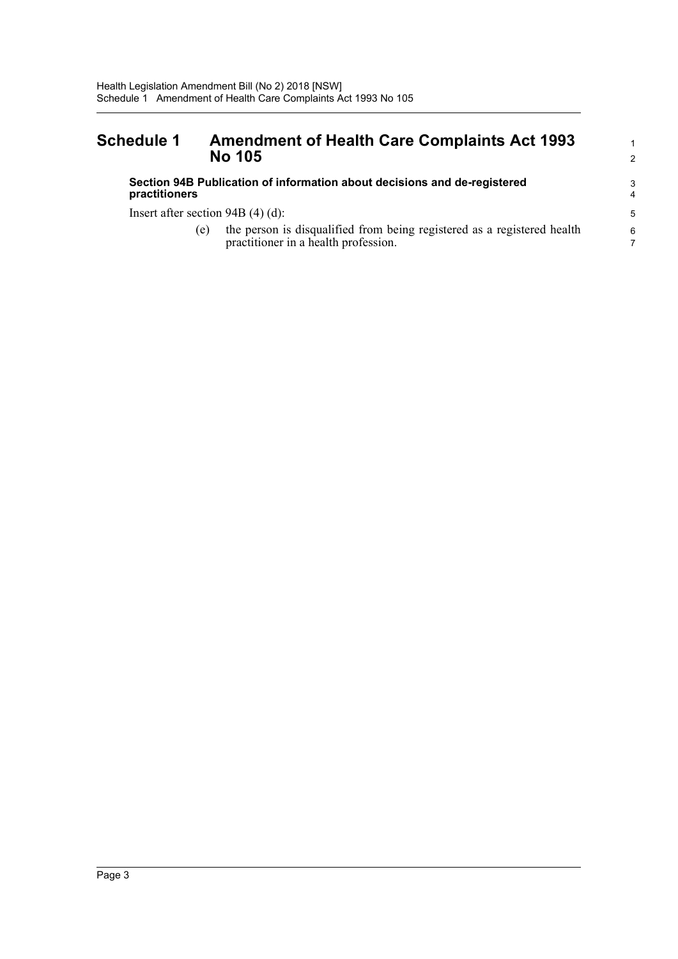## <span id="page-7-0"></span>**Schedule 1 Amendment of Health Care Complaints Act 1993 No 105**

#### **Section 94B Publication of information about decisions and de-registered practitioners**

Insert after section 94B (4) (d):

(e) the person is disqualified from being registered as a registered health practitioner in a health profession.

1 2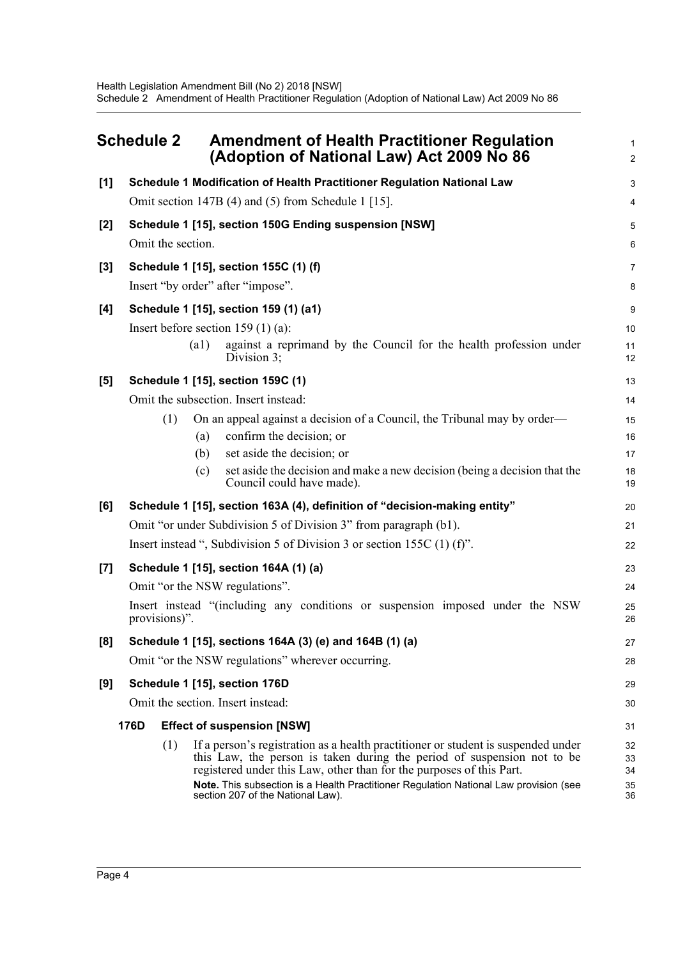<span id="page-8-0"></span>

| <b>Schedule 2</b> |                                                                                                | <b>Amendment of Health Practitioner Regulation</b><br>(Adoption of National Law) Act 2009 No 86                                                 |          |  |  |  |
|-------------------|------------------------------------------------------------------------------------------------|-------------------------------------------------------------------------------------------------------------------------------------------------|----------|--|--|--|
| [1]               |                                                                                                | Schedule 1 Modification of Health Practitioner Regulation National Law                                                                          | 3        |  |  |  |
|                   |                                                                                                | Omit section 147B (4) and (5) from Schedule 1 [15].                                                                                             | 4        |  |  |  |
| $[2]$             |                                                                                                | Schedule 1 [15], section 150G Ending suspension [NSW]                                                                                           | 5        |  |  |  |
|                   | Omit the section.                                                                              |                                                                                                                                                 | 6        |  |  |  |
| [3]               | Schedule 1 [15], section 155C (1) (f)                                                          |                                                                                                                                                 |          |  |  |  |
|                   | Insert "by order" after "impose".                                                              |                                                                                                                                                 |          |  |  |  |
| [4]               |                                                                                                | Schedule 1 [15], section 159 (1) (a1)                                                                                                           | 9        |  |  |  |
|                   |                                                                                                | Insert before section $159(1)(a)$ :                                                                                                             | 10       |  |  |  |
|                   |                                                                                                | (a1)<br>against a reprimand by the Council for the health profession under<br>Division 3;                                                       | 11<br>12 |  |  |  |
| [5]               |                                                                                                | Schedule 1 [15], section 159C (1)                                                                                                               | 13       |  |  |  |
|                   |                                                                                                | Omit the subsection. Insert instead:                                                                                                            | 14       |  |  |  |
|                   | (1)                                                                                            | On an appeal against a decision of a Council, the Tribunal may by order—                                                                        | 15       |  |  |  |
|                   |                                                                                                | confirm the decision; or<br>(a)                                                                                                                 | 16       |  |  |  |
|                   |                                                                                                | set aside the decision; or<br>(b)                                                                                                               | 17       |  |  |  |
|                   |                                                                                                | set aside the decision and make a new decision (being a decision that the<br>(c)<br>Council could have made).                                   | 18<br>19 |  |  |  |
| [6]               |                                                                                                | Schedule 1 [15], section 163A (4), definition of "decision-making entity"                                                                       | 20       |  |  |  |
|                   |                                                                                                | Omit "or under Subdivision 5 of Division 3" from paragraph (b1).                                                                                | 21       |  |  |  |
|                   | Insert instead ", Subdivision 5 of Division 3 or section 155C $(1)$ (f)".                      |                                                                                                                                                 |          |  |  |  |
| $[7]$             | Schedule 1 [15], section 164A (1) (a)                                                          |                                                                                                                                                 |          |  |  |  |
|                   |                                                                                                | Omit "or the NSW regulations".                                                                                                                  |          |  |  |  |
|                   | Insert instead "(including any conditions or suspension imposed under the NSW<br>provisions)". |                                                                                                                                                 |          |  |  |  |
| [8]               | Schedule 1 [15], sections 164A (3) (e) and 164B (1) (a)                                        |                                                                                                                                                 |          |  |  |  |
|                   | Omit "or the NSW regulations" wherever occurring.                                              |                                                                                                                                                 |          |  |  |  |
| [9]               |                                                                                                | Schedule 1 [15], section 176D                                                                                                                   | 29       |  |  |  |
|                   |                                                                                                | Omit the section. Insert instead:                                                                                                               | 30       |  |  |  |
|                   | 176D                                                                                           | <b>Effect of suspension [NSW]</b>                                                                                                               | 31       |  |  |  |
|                   | (1)                                                                                            | If a person's registration as a health practitioner or student is suspended under                                                               | 32       |  |  |  |
|                   |                                                                                                | this Law, the person is taken during the period of suspension not to be<br>registered under this Law, other than for the purposes of this Part. | 33<br>34 |  |  |  |
|                   |                                                                                                | Note. This subsection is a Health Practitioner Regulation National Law provision (see<br>section 207 of the National Law).                      | 35<br>36 |  |  |  |
|                   |                                                                                                |                                                                                                                                                 |          |  |  |  |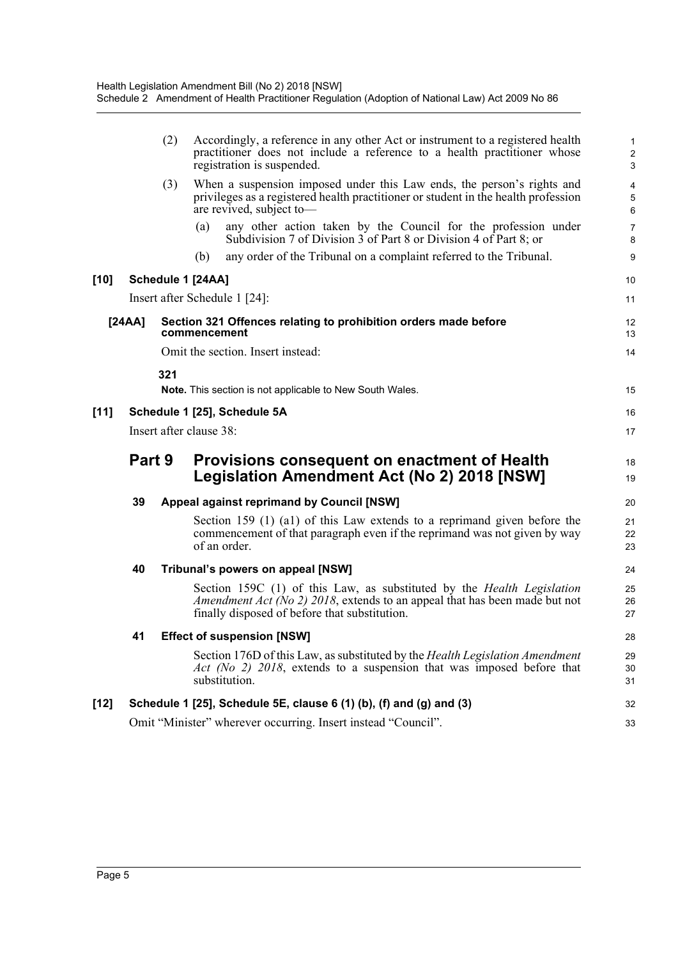|        |                                                               | (2) | Accordingly, a reference in any other Act or instrument to a registered health<br>practitioner does not include a reference to a health practitioner whose<br>registration is suspended.                             | $\mathbf{1}$<br>$\sqrt{2}$<br>3   |  |  |
|--------|---------------------------------------------------------------|-----|----------------------------------------------------------------------------------------------------------------------------------------------------------------------------------------------------------------------|-----------------------------------|--|--|
|        |                                                               | (3) | When a suspension imposed under this Law ends, the person's rights and<br>privileges as a registered health practitioner or student in the health profession<br>are revived, subject to-                             | $\overline{\mathbf{4}}$<br>5<br>6 |  |  |
|        |                                                               |     | any other action taken by the Council for the profession under<br>(a)<br>Subdivision 7 of Division 3 of Part 8 or Division 4 of Part 8; or                                                                           | $\overline{7}$<br>8               |  |  |
|        |                                                               |     | any order of the Tribunal on a complaint referred to the Tribunal.<br>(b)                                                                                                                                            | 9                                 |  |  |
| $[10]$ |                                                               |     | Schedule 1 [24AA]                                                                                                                                                                                                    | 10                                |  |  |
|        |                                                               |     | Insert after Schedule 1 [24]:                                                                                                                                                                                        | 11                                |  |  |
| [24AA] |                                                               |     | Section 321 Offences relating to prohibition orders made before<br>commencement                                                                                                                                      | 12<br>13                          |  |  |
|        |                                                               |     | Omit the section. Insert instead:                                                                                                                                                                                    | 14                                |  |  |
|        |                                                               | 321 |                                                                                                                                                                                                                      |                                   |  |  |
|        |                                                               |     | <b>Note.</b> This section is not applicable to New South Wales.                                                                                                                                                      | 15                                |  |  |
| $[11]$ |                                                               |     | Schedule 1 [25], Schedule 5A                                                                                                                                                                                         | 16                                |  |  |
|        |                                                               |     | Insert after clause 38:                                                                                                                                                                                              | 17                                |  |  |
|        | Part 9                                                        |     | Provisions consequent on enactment of Health<br>Legislation Amendment Act (No 2) 2018 [NSW]                                                                                                                          | 18<br>19                          |  |  |
|        | 39                                                            |     | <b>Appeal against reprimand by Council [NSW]</b>                                                                                                                                                                     | 20                                |  |  |
|        |                                                               |     | Section 159 (1) (a1) of this Law extends to a reprimand given before the<br>commencement of that paragraph even if the reprimand was not given by way<br>of an order.                                                | 21<br>22<br>23                    |  |  |
|        | 40                                                            |     | Tribunal's powers on appeal [NSW]                                                                                                                                                                                    | 24                                |  |  |
|        |                                                               |     | Section 159C (1) of this Law, as substituted by the <i>Health Legislation</i><br><i>Amendment Act (No 2) 2018</i> , extends to an appeal that has been made but not<br>finally disposed of before that substitution. | 25<br>26<br>27                    |  |  |
|        | 41                                                            |     | <b>Effect of suspension [NSW]</b>                                                                                                                                                                                    | 28                                |  |  |
|        |                                                               |     | Section 176D of this Law, as substituted by the Health Legislation Amendment<br>Act (No 2) 2018, extends to a suspension that was imposed before that<br>substitution.                                               | 29<br>30<br>31                    |  |  |
| $[12]$ |                                                               |     | Schedule 1 [25], Schedule 5E, clause 6 (1) (b), (f) and (g) and (3)                                                                                                                                                  | 32                                |  |  |
|        | Omit "Minister" wherever occurring. Insert instead "Council". |     |                                                                                                                                                                                                                      |                                   |  |  |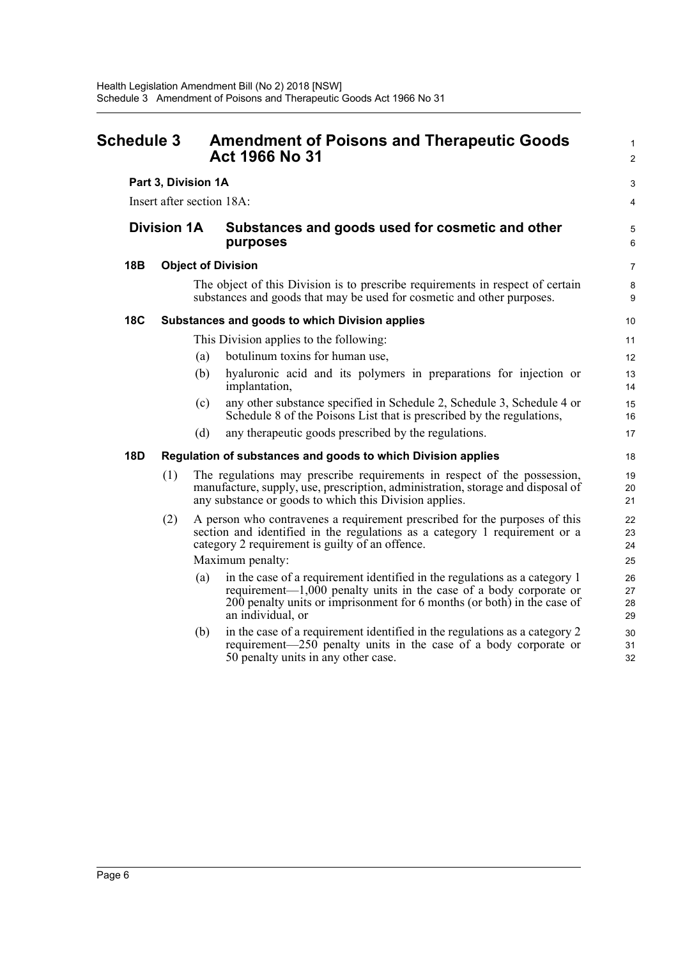<span id="page-10-0"></span>

| <b>Schedule 3</b> |                           |     | <b>Amendment of Poisons and Therapeutic Goods</b><br><b>Act 1966 No 31</b>                                                                                                                                                                          | $\mathbf{1}$<br>$\overline{2}$ |
|-------------------|---------------------------|-----|-----------------------------------------------------------------------------------------------------------------------------------------------------------------------------------------------------------------------------------------------------|--------------------------------|
|                   | Part 3, Division 1A       |     |                                                                                                                                                                                                                                                     | 3                              |
|                   | Insert after section 18A: |     |                                                                                                                                                                                                                                                     | 4                              |
|                   | <b>Division 1A</b>        |     | Substances and goods used for cosmetic and other<br>purposes                                                                                                                                                                                        |                                |
| 18B               |                           |     | <b>Object of Division</b>                                                                                                                                                                                                                           | $\overline{7}$                 |
|                   |                           |     | The object of this Division is to prescribe requirements in respect of certain<br>substances and goods that may be used for cosmetic and other purposes.                                                                                            | 8<br>9                         |
| <b>18C</b>        |                           |     | Substances and goods to which Division applies                                                                                                                                                                                                      | 10                             |
|                   |                           |     | This Division applies to the following:                                                                                                                                                                                                             | 11                             |
|                   |                           | (a) | botulinum toxins for human use,                                                                                                                                                                                                                     | 12                             |
|                   |                           | (b) | hyaluronic acid and its polymers in preparations for injection or<br>implantation,                                                                                                                                                                  | 13<br>14                       |
|                   |                           | (c) | any other substance specified in Schedule 2, Schedule 3, Schedule 4 or<br>Schedule 8 of the Poisons List that is prescribed by the regulations,                                                                                                     | 15<br>16                       |
|                   |                           | (d) | any therapeutic goods prescribed by the regulations.                                                                                                                                                                                                | 17                             |
| <b>18D</b>        |                           |     | Regulation of substances and goods to which Division applies                                                                                                                                                                                        | 18                             |
|                   | (1)                       |     | The regulations may prescribe requirements in respect of the possession,<br>manufacture, supply, use, prescription, administration, storage and disposal of<br>any substance or goods to which this Division applies.                               | 19<br>20<br>21                 |
|                   | (2)                       |     | A person who contravenes a requirement prescribed for the purposes of this<br>section and identified in the regulations as a category 1 requirement or a<br>category 2 requirement is guilty of an offence.                                         | 22<br>23<br>24                 |
|                   |                           |     | Maximum penalty:                                                                                                                                                                                                                                    | 25                             |
|                   |                           | (a) | in the case of a requirement identified in the regulations as a category 1<br>requirement— $1,000$ penalty units in the case of a body corporate or<br>200 penalty units or imprisonment for 6 months (or both) in the case of<br>an individual, or | 26<br>27<br>28<br>29           |
|                   |                           | (b) | in the case of a requirement identified in the regulations as a category 2<br>requirement—250 penalty units in the case of a body corporate or<br>50 penalty units in any other case.                                                               | 30<br>31<br>32                 |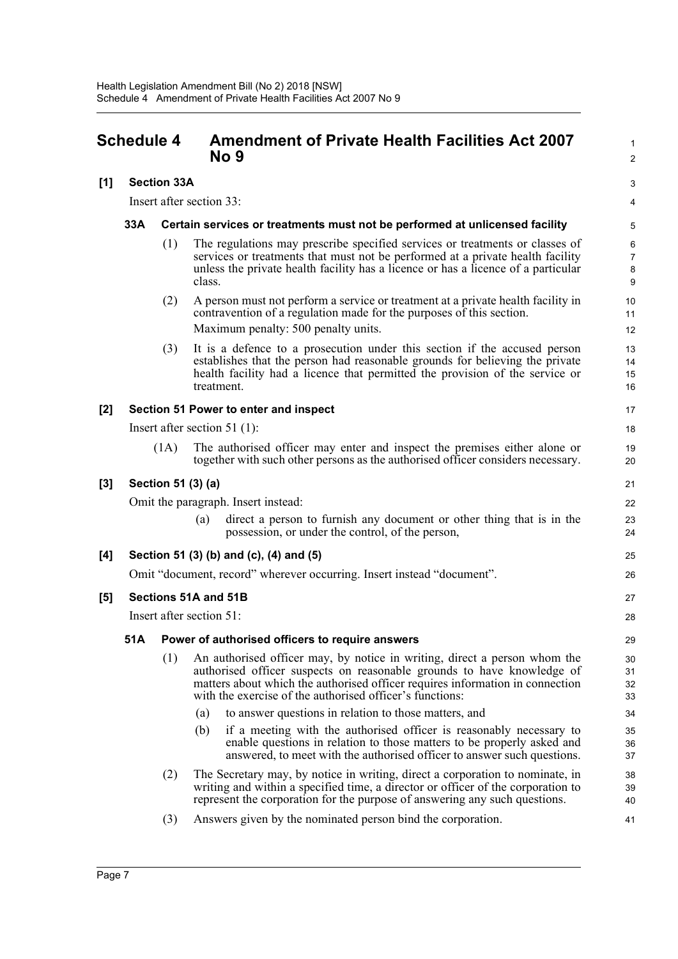## <span id="page-11-0"></span>**Schedule 4 Amendment of Private Health Facilities Act 2007 No 9**

### **[1] Section 33A**

Insert after section 33:

#### **33A Certain services or treatments must not be performed at unlicensed facility**

(1) The regulations may prescribe specified services or treatments or classes of services or treatments that must not be performed at a private health facility unless the private health facility has a licence or has a licence of a particular class.

1  $\mathcal{L}$ 

3 4

- (2) A person must not perform a service or treatment at a private health facility in contravention of a regulation made for the purposes of this section. Maximum penalty: 500 penalty units.
- (3) It is a defence to a prosecution under this section if the accused person establishes that the person had reasonable grounds for believing the private health facility had a licence that permitted the provision of the service or treatment.

#### **[2] Section 51 Power to enter and inspect**

Insert after section 51 (1):

(1A) The authorised officer may enter and inspect the premises either alone or together with such other persons as the authorised officer considers necessary.

### **[3] Section 51 (3) (a)**

Omit the paragraph. Insert instead:

(a) direct a person to furnish any document or other thing that is in the possession, or under the control, of the person,

### **[4] Section 51 (3) (b) and (c), (4) and (5)**

Omit "document, record" wherever occurring. Insert instead "document".

#### **[5] Sections 51A and 51B**

Insert after section 51:

#### **51A Power of authorised officers to require answers**

- (1) An authorised officer may, by notice in writing, direct a person whom the authorised officer suspects on reasonable grounds to have knowledge of matters about which the authorised officer requires information in connection with the exercise of the authorised officer's functions:
	- (a) to answer questions in relation to those matters, and
	- (b) if a meeting with the authorised officer is reasonably necessary to enable questions in relation to those matters to be properly asked and answered, to meet with the authorised officer to answer such questions.
- (2) The Secretary may, by notice in writing, direct a corporation to nominate, in writing and within a specified time, a director or officer of the corporation to represent the corporation for the purpose of answering any such questions.
- (3) Answers given by the nominated person bind the corporation.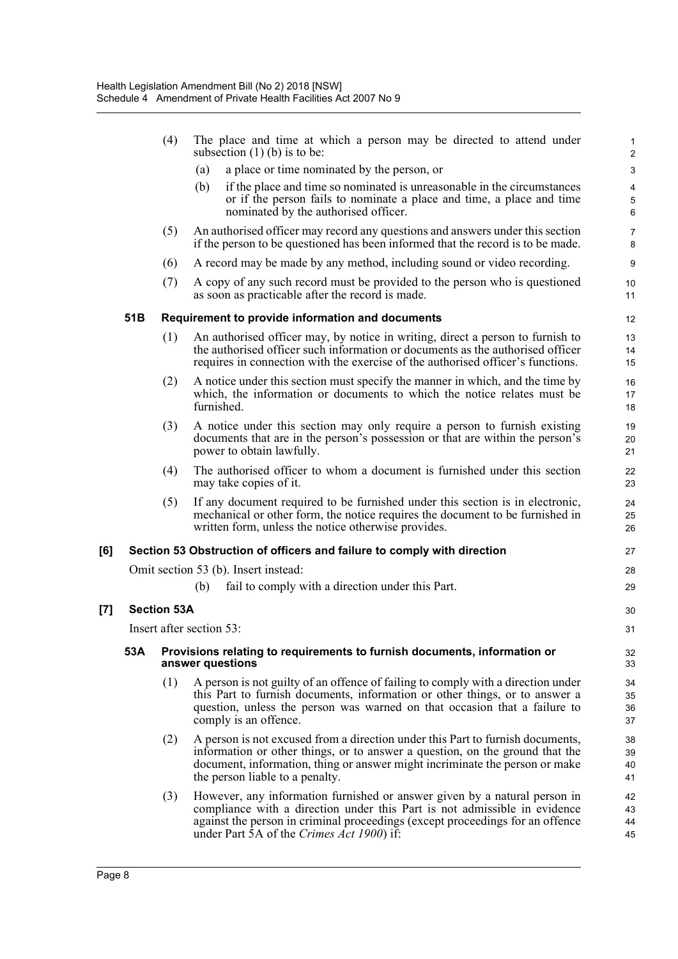|     |     | (4)                | The place and time at which a person may be directed to attend under<br>subsection $(1)$ (b) is to be:                                                                                                                                                                               | 1<br>$\sqrt{2}$                             |
|-----|-----|--------------------|--------------------------------------------------------------------------------------------------------------------------------------------------------------------------------------------------------------------------------------------------------------------------------------|---------------------------------------------|
|     |     |                    | a place or time nominated by the person, or<br>(a)                                                                                                                                                                                                                                   | $\ensuremath{\mathsf{3}}$                   |
|     |     |                    | if the place and time so nominated is unreasonable in the circumstances<br>(b)<br>or if the person fails to nominate a place and time, a place and time<br>nominated by the authorised officer.                                                                                      | $\overline{\mathbf{4}}$<br>$\mathbf 5$<br>6 |
|     |     | (5)                | An authorised officer may record any questions and answers under this section<br>if the person to be questioned has been informed that the record is to be made.                                                                                                                     | $\overline{7}$<br>8                         |
|     |     | (6)                | A record may be made by any method, including sound or video recording.                                                                                                                                                                                                              | 9                                           |
|     |     | (7)                | A copy of any such record must be provided to the person who is questioned<br>as soon as practicable after the record is made.                                                                                                                                                       | 10<br>11                                    |
|     | 51B |                    | Requirement to provide information and documents                                                                                                                                                                                                                                     | 12                                          |
|     |     | (1)                | An authorised officer may, by notice in writing, direct a person to furnish to<br>the authorised officer such information or documents as the authorised officer<br>requires in connection with the exercise of the authorised officer's functions.                                  | 13<br>14<br>15                              |
|     |     | (2)                | A notice under this section must specify the manner in which, and the time by<br>which, the information or documents to which the notice relates must be<br>furnished.                                                                                                               | 16<br>17<br>18                              |
|     |     | (3)                | A notice under this section may only require a person to furnish existing<br>documents that are in the person's possession or that are within the person's<br>power to obtain lawfully.                                                                                              | 19<br>20<br>21                              |
|     |     | (4)                | The authorised officer to whom a document is furnished under this section<br>may take copies of it.                                                                                                                                                                                  | 22<br>23                                    |
|     |     | (5)                | If any document required to be furnished under this section is in electronic,<br>mechanical or other form, the notice requires the document to be furnished in<br>written form, unless the notice otherwise provides.                                                                | 24<br>25<br>26                              |
| [6] |     |                    | Section 53 Obstruction of officers and failure to comply with direction                                                                                                                                                                                                              | 27                                          |
|     |     |                    | Omit section 53 (b). Insert instead:                                                                                                                                                                                                                                                 | 28                                          |
|     |     |                    | fail to comply with a direction under this Part.<br>(b)                                                                                                                                                                                                                              | 29                                          |
| [7] |     | <b>Section 53A</b> |                                                                                                                                                                                                                                                                                      | 30                                          |
|     |     |                    | Insert after section 53:                                                                                                                                                                                                                                                             | 31                                          |
|     | 53A |                    | Provisions relating to requirements to furnish documents, information or<br>answer questions                                                                                                                                                                                         |                                             |
|     |     | (1)                | A person is not guilty of an offence of failing to comply with a direction under<br>this Part to furnish documents, information or other things, or to answer a<br>question, unless the person was warned on that occasion that a failure to<br>comply is an offence.                | 34<br>35<br>36<br>37                        |
|     |     | (2)                | A person is not excused from a direction under this Part to furnish documents,<br>information or other things, or to answer a question, on the ground that the<br>document, information, thing or answer might incriminate the person or make<br>the person liable to a penalty.     | 38<br>39<br>40<br>41                        |
|     |     | (3)                | However, any information furnished or answer given by a natural person in<br>compliance with a direction under this Part is not admissible in evidence<br>against the person in criminal proceedings (except proceedings for an offence<br>under Part 5A of the Crimes Act 1900) if: | 42<br>43<br>44<br>45                        |

**[7] Section 53A**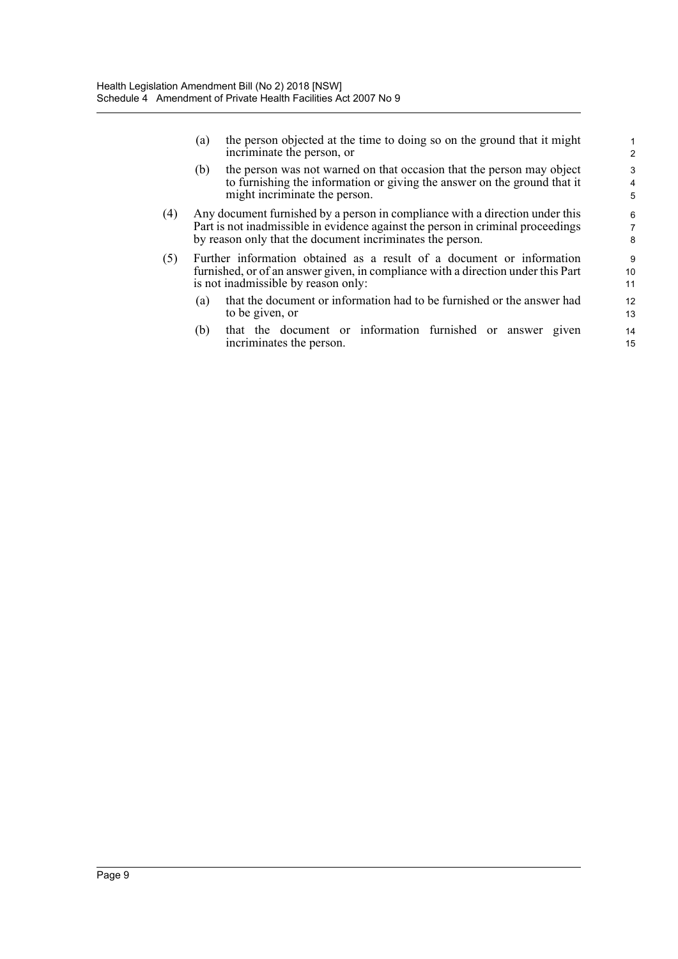(a) the person objected at the time to doing so on the ground that it might incriminate the person, or

- (b) the person was not warned on that occasion that the person may object to furnishing the information or giving the answer on the ground that it might incriminate the person.
- (4) Any document furnished by a person in compliance with a direction under this Part is not inadmissible in evidence against the person in criminal proceedings by reason only that the document incriminates the person.
- (5) Further information obtained as a result of a document or information furnished, or of an answer given, in compliance with a direction under this Part is not inadmissible by reason only:
	- (a) that the document or information had to be furnished or the answer had to be given, or
	- (b) that the document or information furnished or answer given incriminates the person.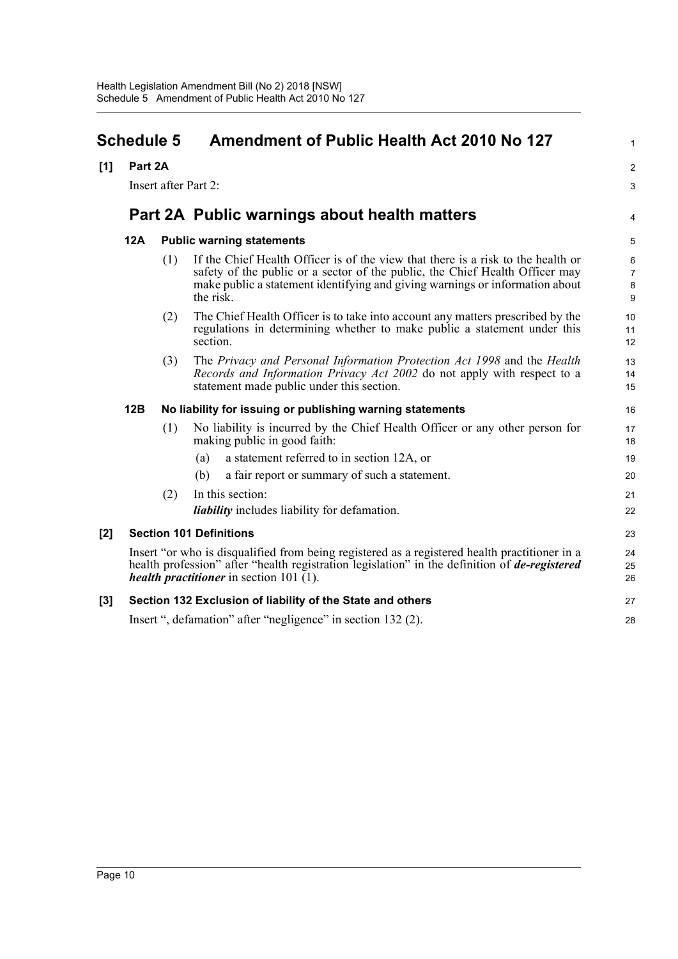<span id="page-14-0"></span>

| <b>Schedule 5</b> |                                                                                                                                                                                                                                                         |                      | <b>Amendment of Public Health Act 2010 No 127</b>                                                                                                                                                                                                             | $\mathbf{1}$                  |  |
|-------------------|---------------------------------------------------------------------------------------------------------------------------------------------------------------------------------------------------------------------------------------------------------|----------------------|---------------------------------------------------------------------------------------------------------------------------------------------------------------------------------------------------------------------------------------------------------------|-------------------------------|--|
| [1]               | Part 2A                                                                                                                                                                                                                                                 |                      |                                                                                                                                                                                                                                                               | $\overline{2}$                |  |
|                   |                                                                                                                                                                                                                                                         | Insert after Part 2: |                                                                                                                                                                                                                                                               | 3                             |  |
|                   |                                                                                                                                                                                                                                                         |                      | Part 2A Public warnings about health matters                                                                                                                                                                                                                  | 4                             |  |
|                   | 12A                                                                                                                                                                                                                                                     |                      | <b>Public warning statements</b>                                                                                                                                                                                                                              | 5                             |  |
|                   |                                                                                                                                                                                                                                                         | (1)                  | If the Chief Health Officer is of the view that there is a risk to the health or<br>safety of the public or a sector of the public, the Chief Health Officer may<br>make public a statement identifying and giving warnings or information about<br>the risk. | 6<br>$\overline{7}$<br>8<br>9 |  |
|                   |                                                                                                                                                                                                                                                         | (2)                  | The Chief Health Officer is to take into account any matters prescribed by the<br>regulations in determining whether to make public a statement under this<br>section.                                                                                        | 10<br>11<br>12                |  |
|                   |                                                                                                                                                                                                                                                         | (3)                  | The Privacy and Personal Information Protection Act 1998 and the Health<br>Records and Information Privacy Act 2002 do not apply with respect to a<br>statement made public under this section.                                                               | 13<br>14<br>15                |  |
|                   | 12B                                                                                                                                                                                                                                                     |                      | No liability for issuing or publishing warning statements                                                                                                                                                                                                     | 16                            |  |
|                   |                                                                                                                                                                                                                                                         | (1)                  | No liability is incurred by the Chief Health Officer or any other person for<br>making public in good faith:                                                                                                                                                  | 17<br>18                      |  |
|                   |                                                                                                                                                                                                                                                         |                      | a statement referred to in section 12A, or<br>(a)                                                                                                                                                                                                             | 19                            |  |
|                   |                                                                                                                                                                                                                                                         |                      | (b)<br>a fair report or summary of such a statement.                                                                                                                                                                                                          | 20                            |  |
|                   |                                                                                                                                                                                                                                                         | (2)                  | In this section:                                                                                                                                                                                                                                              | 21                            |  |
|                   |                                                                                                                                                                                                                                                         |                      | <i>liability</i> includes liability for defamation.                                                                                                                                                                                                           | 22                            |  |
| [2]               | <b>Section 101 Definitions</b>                                                                                                                                                                                                                          |                      |                                                                                                                                                                                                                                                               |                               |  |
|                   | Insert "or who is disqualified from being registered as a registered health practitioner in a<br>health profession" after "health registration legislation" in the definition of <i>de-registered</i><br><i>health practitioner</i> in section 101 (1). |                      |                                                                                                                                                                                                                                                               | 24<br>25<br>26                |  |
| $[3]$             |                                                                                                                                                                                                                                                         |                      | Section 132 Exclusion of liability of the State and others                                                                                                                                                                                                    | 27                            |  |
|                   | Insert ", defamation" after "negligence" in section 132 (2).                                                                                                                                                                                            |                      |                                                                                                                                                                                                                                                               |                               |  |